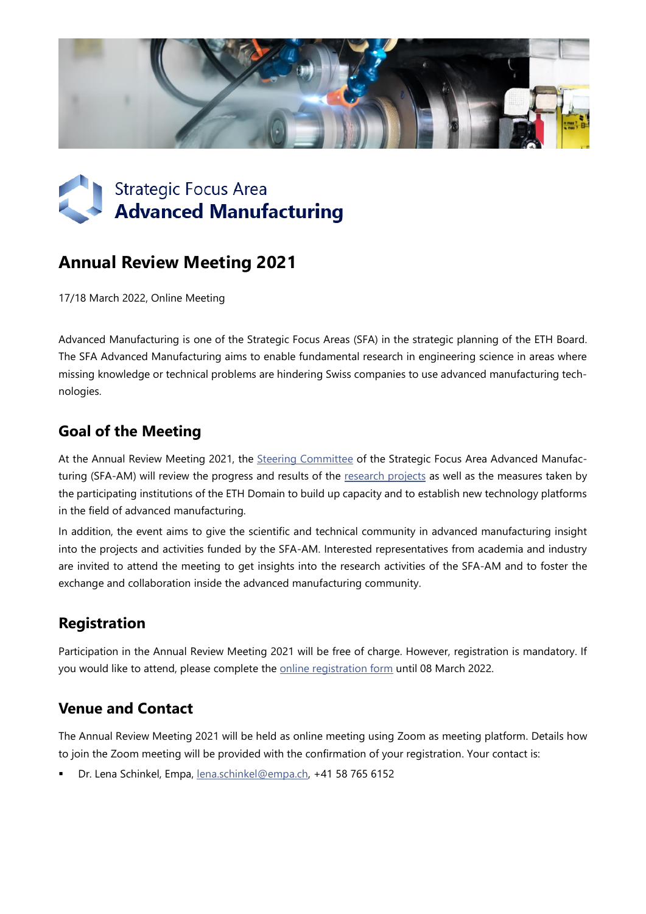



# **Annual Review Meeting 2021**

17/18 March 2022, Online Meeting

Advanced Manufacturing is one of the Strategic Focus Areas (SFA) in the strategic planning of the ETH Board. The SFA Advanced Manufacturing aims to enable fundamental research in engineering science in areas where missing knowledge or technical problems are hindering Swiss companies to use advanced manufacturing technologies.

#### **Goal of the Meeting**

At the Annual Review Meeting 2021, the [Steering Committee](https://www.sfa-am.ch/steering-committee.html) of the Strategic Focus Area Advanced Manufacturing (SFA-AM) will review the progress and results of the [research projects](https://www.sfa-am.ch/projects.html) as well as the measures taken by the participating institutions of the ETH Domain to build up capacity and to establish new technology platforms in the field of advanced manufacturing.

In addition, the event aims to give the scientific and technical community in advanced manufacturing insight into the projects and activities funded by the SFA-AM. Interested representatives from academia and industry are invited to attend the meeting to get insights into the research activities of the SFA-AM and to foster the exchange and collaboration inside the advanced manufacturing community.

## **Registration**

Participation in the Annual Review Meeting 2021 will be free of charge. However, registration is mandatory. If you would like to attend, please complete the **online registration form** until 08 March 2022.

#### **Venue and Contact**

The Annual Review Meeting 2021 will be held as online meeting using Zoom as meeting platform. Details how to join the Zoom meeting will be provided with the confirmation of your registration. Your contact is:

Dr. Lena Schinkel, Empa, [lena.schinkel@empa.ch,](mailto:lena.schinkel@empa.ch) +41 58 765 6152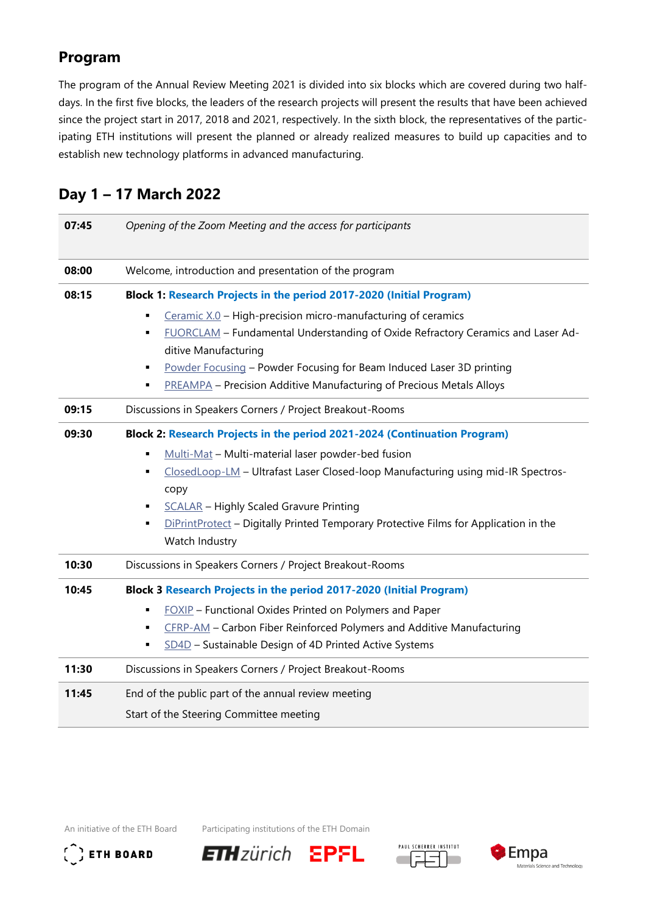### **Program**

The program of the Annual Review Meeting 2021 is divided into six blocks which are covered during two halfdays. In the first five blocks, the leaders of the research projects will present the results that have been achieved since the project start in 2017, 2018 and 2021, respectively. In the sixth block, the representatives of the participating ETH institutions will present the planned or already realized measures to build up capacities and to establish new technology platforms in advanced manufacturing.

| 07:45 | Opening of the Zoom Meeting and the access for participants                                                                                                                                                                                                                                                                                          |
|-------|------------------------------------------------------------------------------------------------------------------------------------------------------------------------------------------------------------------------------------------------------------------------------------------------------------------------------------------------------|
| 08:00 | Welcome, introduction and presentation of the program                                                                                                                                                                                                                                                                                                |
| 08:15 | Block 1: Research Projects in the period 2017-2020 (Initial Program)                                                                                                                                                                                                                                                                                 |
|       | Ceramic $X.0$ – High-precision micro-manufacturing of ceramics<br>٠<br>FUORCLAM - Fundamental Understanding of Oxide Refractory Ceramics and Laser Ad-<br>٠<br>ditive Manufacturing<br>Powder Focusing - Powder Focusing for Beam Induced Laser 3D printing<br>٠<br><b>PREAMPA</b> - Precision Additive Manufacturing of Precious Metals Alloys<br>٠ |
| 09:15 | Discussions in Speakers Corners / Project Breakout-Rooms                                                                                                                                                                                                                                                                                             |
| 09:30 | Block 2: Research Projects in the period 2021-2024 (Continuation Program)<br>Multi-Mat - Multi-material laser powder-bed fusion<br>$\blacksquare$<br>ClosedLoop-LM - Ultrafast Laser Closed-loop Manufacturing using mid-IR Spectros-<br>٠<br>copy                                                                                                   |
|       | <b>SCALAR</b> - Highly Scaled Gravure Printing<br>٠<br>DiPrintProtect - Digitally Printed Temporary Protective Films for Application in the<br>٠<br>Watch Industry                                                                                                                                                                                   |
| 10:30 | Discussions in Speakers Corners / Project Breakout-Rooms                                                                                                                                                                                                                                                                                             |
| 10:45 | Block 3 Research Projects in the period 2017-2020 (Initial Program)<br>FOXIP - Functional Oxides Printed on Polymers and Paper<br>٠<br>CFRP-AM - Carbon Fiber Reinforced Polymers and Additive Manufacturing<br>٠<br>SD4D - Sustainable Design of 4D Printed Active Systems<br>٠                                                                     |
| 11:30 | Discussions in Speakers Corners / Project Breakout-Rooms                                                                                                                                                                                                                                                                                             |
| 11:45 | End of the public part of the annual review meeting<br>Start of the Steering Committee meeting                                                                                                                                                                                                                                                       |

### **Day 1 – 17 March 2022**

An initiative of the ETH Board Participating institutions of the ETH Domain



**ETHzürich EPFL**